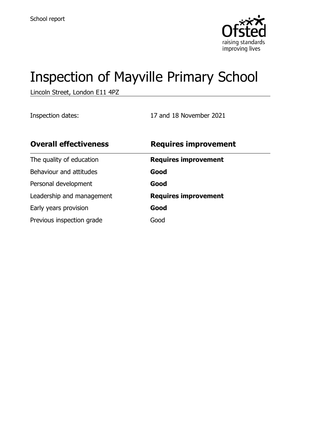

# Inspection of Mayville Primary School

Lincoln Street, London E11 4PZ

Inspection dates: 17 and 18 November 2021

| <b>Overall effectiveness</b> | <b>Requires improvement</b> |
|------------------------------|-----------------------------|
| The quality of education     | <b>Requires improvement</b> |
| Behaviour and attitudes      | Good                        |
| Personal development         | Good                        |
| Leadership and management    | <b>Requires improvement</b> |
| Early years provision        | Good                        |
| Previous inspection grade    | Good                        |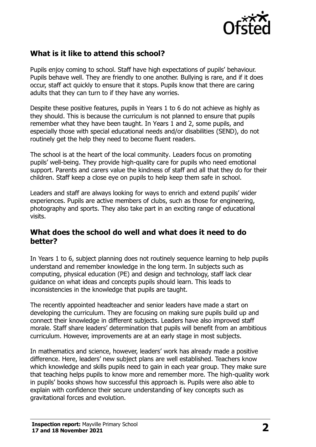

# **What is it like to attend this school?**

Pupils enjoy coming to school. Staff have high expectations of pupils' behaviour. Pupils behave well. They are friendly to one another. Bullying is rare, and if it does occur, staff act quickly to ensure that it stops. Pupils know that there are caring adults that they can turn to if they have any worries.

Despite these positive features, pupils in Years 1 to 6 do not achieve as highly as they should. This is because the curriculum is not planned to ensure that pupils remember what they have been taught. In Years 1 and 2, some pupils, and especially those with special educational needs and/or disabilities (SEND), do not routinely get the help they need to become fluent readers.

The school is at the heart of the local community. Leaders focus on promoting pupils' well-being. They provide high-quality care for pupils who need emotional support. Parents and carers value the kindness of staff and all that they do for their children. Staff keep a close eye on pupils to help keep them safe in school.

Leaders and staff are always looking for ways to enrich and extend pupils' wider experiences. Pupils are active members of clubs, such as those for engineering, photography and sports. They also take part in an exciting range of educational visits.

#### **What does the school do well and what does it need to do better?**

In Years 1 to 6, subject planning does not routinely sequence learning to help pupils understand and remember knowledge in the long term. In subjects such as computing, physical education (PE) and design and technology, staff lack clear guidance on what ideas and concepts pupils should learn. This leads to inconsistencies in the knowledge that pupils are taught.

The recently appointed headteacher and senior leaders have made a start on developing the curriculum. They are focusing on making sure pupils build up and connect their knowledge in different subjects. Leaders have also improved staff morale. Staff share leaders' determination that pupils will benefit from an ambitious curriculum. However, improvements are at an early stage in most subjects.

In mathematics and science, however, leaders' work has already made a positive difference. Here, leaders' new subject plans are well established. Teachers know which knowledge and skills pupils need to gain in each year group. They make sure that teaching helps pupils to know more and remember more. The high-quality work in pupils' books shows how successful this approach is. Pupils were also able to explain with confidence their secure understanding of key concepts such as gravitational forces and evolution.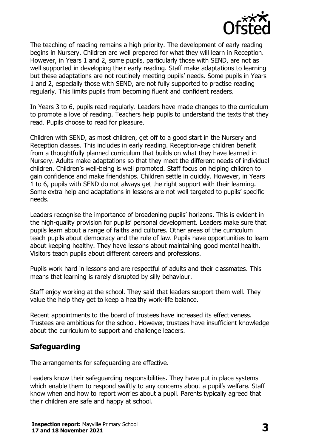

The teaching of reading remains a high priority. The development of early reading begins in Nursery. Children are well prepared for what they will learn in Reception. However, in Years 1 and 2, some pupils, particularly those with SEND, are not as well supported in developing their early reading. Staff make adaptations to learning but these adaptations are not routinely meeting pupils' needs. Some pupils in Years 1 and 2, especially those with SEND, are not fully supported to practise reading regularly. This limits pupils from becoming fluent and confident readers.

In Years 3 to 6, pupils read regularly. Leaders have made changes to the curriculum to promote a love of reading. Teachers help pupils to understand the texts that they read. Pupils choose to read for pleasure.

Children with SEND, as most children, get off to a good start in the Nursery and Reception classes. This includes in early reading. Reception-age children benefit from a thoughtfully planned curriculum that builds on what they have learned in Nursery. Adults make adaptations so that they meet the different needs of individual children. Children's well-being is well promoted. Staff focus on helping children to gain confidence and make friendships. Children settle in quickly. However, in Years 1 to 6, pupils with SEND do not always get the right support with their learning. Some extra help and adaptations in lessons are not well targeted to pupils' specific needs.

Leaders recognise the importance of broadening pupils' horizons. This is evident in the high-quality provision for pupils' personal development. Leaders make sure that pupils learn about a range of faiths and cultures. Other areas of the curriculum teach pupils about democracy and the rule of law. Pupils have opportunities to learn about keeping healthy. They have lessons about maintaining good mental health. Visitors teach pupils about different careers and professions.

Pupils work hard in lessons and are respectful of adults and their classmates. This means that learning is rarely disrupted by silly behaviour.

Staff enjoy working at the school. They said that leaders support them well. They value the help they get to keep a healthy work-life balance.

Recent appointments to the board of trustees have increased its effectiveness. Trustees are ambitious for the school. However, trustees have insufficient knowledge about the curriculum to support and challenge leaders.

### **Safeguarding**

The arrangements for safeguarding are effective.

Leaders know their safeguarding responsibilities. They have put in place systems which enable them to respond swiftly to any concerns about a pupil's welfare. Staff know when and how to report worries about a pupil. Parents typically agreed that their children are safe and happy at school.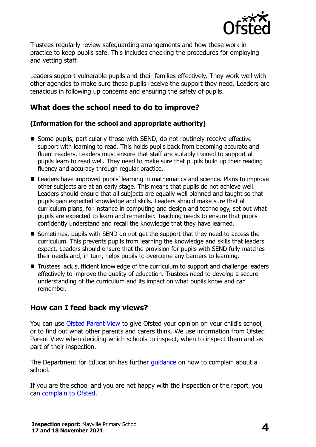

Trustees regularly review safeguarding arrangements and how these work in practice to keep pupils safe. This includes checking the procedures for employing and vetting staff.

Leaders support vulnerable pupils and their families effectively. They work well with other agencies to make sure these pupils receive the support they need. Leaders are tenacious in following up concerns and ensuring the safety of pupils.

# **What does the school need to do to improve?**

#### **(Information for the school and appropriate authority)**

- Some pupils, particularly those with SEND, do not routinely receive effective support with learning to read. This holds pupils back from becoming accurate and fluent readers. Leaders must ensure that staff are suitably trained to support all pupils learn to read well. They need to make sure that pupils build up their reading fluency and accuracy through regular practice.
- Leaders have improved pupils' learning in mathematics and science. Plans to improve other subjects are at an early stage. This means that pupils do not achieve well. Leaders should ensure that all subjects are equally well planned and taught so that pupils gain expected knowledge and skills. Leaders should make sure that all curriculum plans, for instance in computing and design and technology, set out what pupils are expected to learn and remember. Teaching needs to ensure that pupils confidently understand and recall the knowledge that they have learned.
- Sometimes, pupils with SEND do not get the support that they need to access the curriculum. This prevents pupils from learning the knowledge and skills that leaders expect. Leaders should ensure that the provision for pupils with SEND fully matches their needs and, in turn, helps pupils to overcome any barriers to learning.
- Trustees lack sufficient knowledge of the curriculum to support and challenge leaders effectively to improve the quality of education. Trustees need to develop a secure understanding of the curriculum and its impact on what pupils know and can remember.

### **How can I feed back my views?**

You can use [Ofsted Parent View](http://parentview.ofsted.gov.uk/) to give Ofsted your opinion on your child's school, or to find out what other parents and carers think. We use information from Ofsted Parent View when deciding which schools to inspect, when to inspect them and as part of their inspection.

The Department for Education has further quidance on how to complain about a school.

If you are the school and you are not happy with the inspection or the report, you can [complain to Ofsted.](http://www.gov.uk/complain-ofsted-report)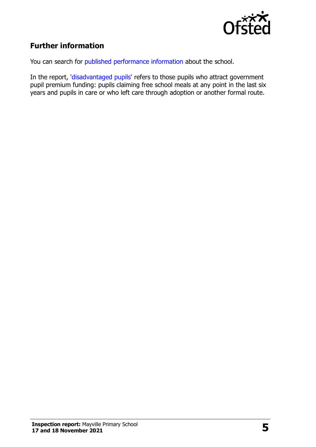

# **Further information**

You can search for [published performance information](http://www.compare-school-performance.service.gov.uk/) about the school.

In the report, ['disadvantaged pupils'](http://www.gov.uk/guidance/pupil-premium-information-for-schools-and-alternative-provision-settings) refers to those pupils who attract government pupil premium funding: pupils claiming free school meals at any point in the last six years and pupils in care or who left care through adoption or another formal route.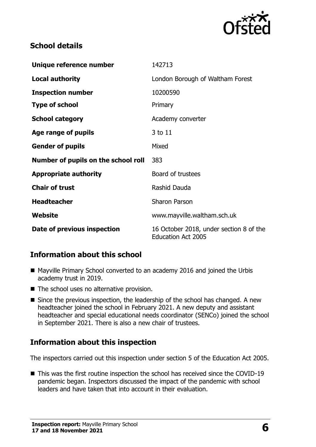

# **School details**

| Unique reference number             | 142713                                                               |  |
|-------------------------------------|----------------------------------------------------------------------|--|
| <b>Local authority</b>              | London Borough of Waltham Forest                                     |  |
| <b>Inspection number</b>            | 10200590                                                             |  |
| <b>Type of school</b>               | Primary                                                              |  |
| <b>School category</b>              | Academy converter                                                    |  |
| Age range of pupils                 | 3 to 11                                                              |  |
| <b>Gender of pupils</b>             | Mixed                                                                |  |
| Number of pupils on the school roll | 383                                                                  |  |
| <b>Appropriate authority</b>        | Board of trustees                                                    |  |
| <b>Chair of trust</b>               | Rashid Dauda                                                         |  |
| <b>Headteacher</b>                  | <b>Sharon Parson</b>                                                 |  |
| <b>Website</b>                      | www.mayville.waltham.sch.uk                                          |  |
| Date of previous inspection         | 16 October 2018, under section 8 of the<br><b>Education Act 2005</b> |  |

# **Information about this school**

- Mayville Primary School converted to an academy 2016 and joined the Urbis academy trust in 2019.
- The school uses no alternative provision.
- Since the previous inspection, the leadership of the school has changed. A new headteacher joined the school in February 2021. A new deputy and assistant headteacher and special educational needs coordinator (SENCo) joined the school in September 2021. There is also a new chair of trustees.

# **Information about this inspection**

The inspectors carried out this inspection under section 5 of the Education Act 2005.

■ This was the first routine inspection the school has received since the COVID-19 pandemic began. Inspectors discussed the impact of the pandemic with school leaders and have taken that into account in their evaluation.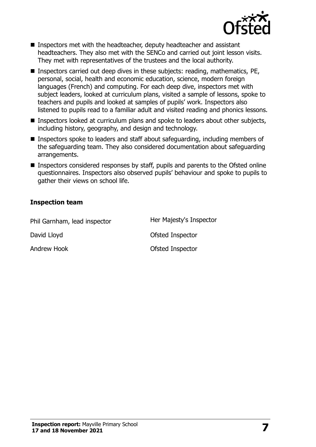

- Inspectors met with the headteacher, deputy headteacher and assistant headteachers. They also met with the SENCo and carried out joint lesson visits. They met with representatives of the trustees and the local authority.
- Inspectors carried out deep dives in these subjects: reading, mathematics, PE, personal, social, health and economic education, science, modern foreign languages (French) and computing. For each deep dive, inspectors met with subject leaders, looked at curriculum plans, visited a sample of lessons, spoke to teachers and pupils and looked at samples of pupils' work. Inspectors also listened to pupils read to a familiar adult and visited reading and phonics lessons.
- Inspectors looked at curriculum plans and spoke to leaders about other subjects, including history, geography, and design and technology.
- Inspectors spoke to leaders and staff about safeguarding, including members of the safeguarding team. They also considered documentation about safeguarding arrangements.
- Inspectors considered responses by staff, pupils and parents to the Ofsted online questionnaires. Inspectors also observed pupils' behaviour and spoke to pupils to gather their views on school life.

#### **Inspection team**

| Phil Garnham, lead inspector | Her Majesty's Inspector |
|------------------------------|-------------------------|
| David Lloyd                  | Ofsted Inspector        |
| <b>Andrew Hook</b>           | Ofsted Inspector        |